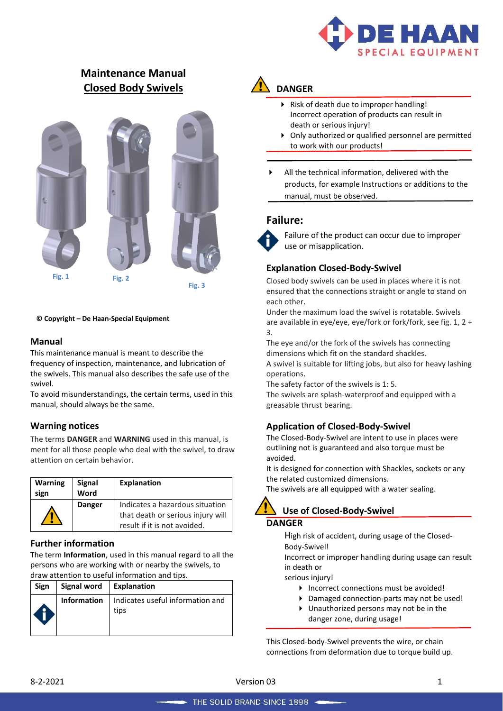

# **Maintenance Manual Closed Body Swivels**



#### **© Copyright – De Haan-Special Equipment**

### **Manual**

This maintenance manual is meant to describe the frequency of inspection, maintenance, and lubrication of the swivels. This manual also describes the safe use of the swivel.

To avoid misunderstandings, the certain terms, used in this manual, should always be the same.

### **Warning notices**

The terms **DANGER** and **WARNING** used in this manual, is ment for all those people who deal with the swivel, to draw attention on certain behavior.

| <b>Warning</b><br>sign | <b>Signal</b><br>Word | <b>Explanation</b>                                                                                   |
|------------------------|-----------------------|------------------------------------------------------------------------------------------------------|
|                        | <b>Danger</b>         | Indicates a hazardous situation<br>that death or serious injury will<br>result if it is not avoided. |

### **Further information**

The term **Information**, used in this manual regard to all the persons who are working with or nearby the swivels, to draw attention to useful information and tips.

| Sign | Signal word   Explanation |                                          |
|------|---------------------------|------------------------------------------|
|      | Information               | Indicates useful information and<br>tips |

# **DANGER**

- Risk of death due to improper handling! Incorrect operation of products can result in death or serious injury!
- Only authorized or qualified personnel are permitted to work with our products!
- All the technical information, delivered with the products, for example Instructions or additions to the manual, must be observed.

# **Failure:**



Failure of the product can occur due to improper use or misapplication.

# **Explanation Closed-Body-Swivel**

Closed body swivels can be used in places where it is not ensured that the connections straight or angle to stand on each other.

Under the maximum load the swivel is rotatable. Swivels are available in eye/eye, eye/fork or fork/fork, see fig. 1, 2 + 3.

The eye and/or the fork of the swivels has connecting dimensions which fit on the standard shackles.

A swivel is suitable for lifting jobs, but also for heavy lashing operations.

The safety factor of the swivels is 1: 5.

The swivels are splash-waterproof and equipped with a greasable thrust bearing.

### **Application of Closed-Body-Swivel**

The Closed-Body-Swivel are intent to use in places were outlining not is guaranteed and also torque must be avoided.

It is designed for connection with Shackles, sockets or any the related customized dimensions.

The swivels are all equipped with a water sealing.

# **Use of Closed-Body-Swivel DANGER**

High risk of accident, during usage of the Closed-Body-Swivel!

Incorrect or improper handling during usage can result in death or

serious injury!

- ▶ Incorrect connections must be avoided!
- Damaged connection-parts may not be used!
- Unauthorized persons may not be in the danger zone, during usage!

This Closed-body-Swivel prevents the wire, or chain connections from deformation due to torque build up.